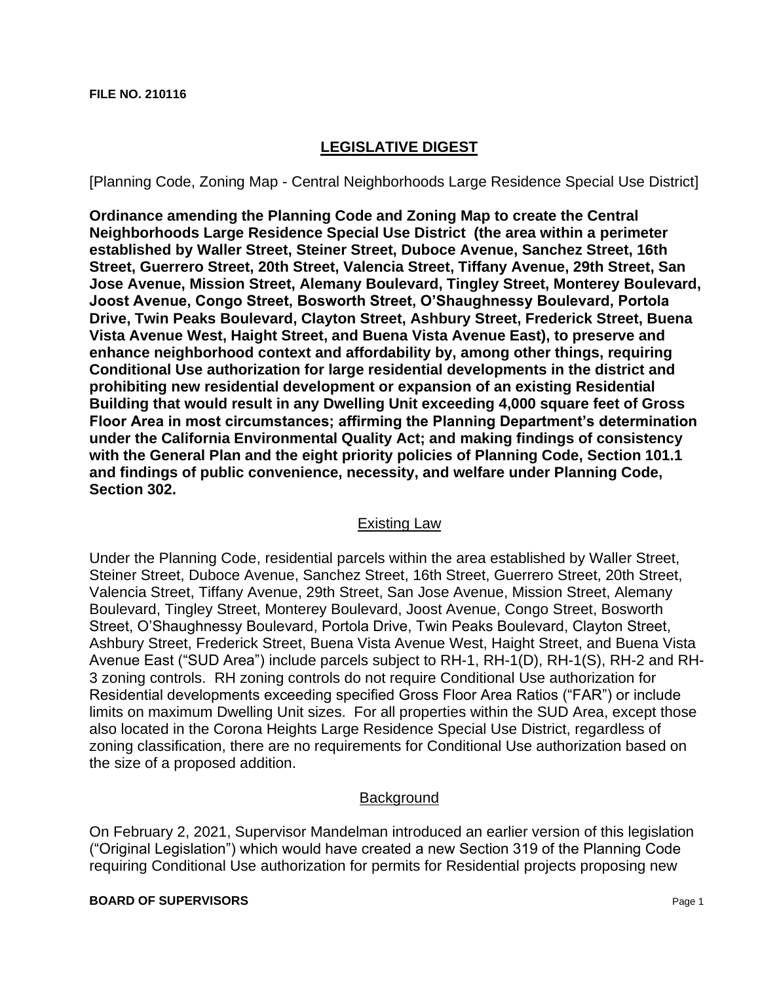# **LEGISLATIVE DIGEST**

[Planning Code, Zoning Map - Central Neighborhoods Large Residence Special Use District]

**Ordinance amending the Planning Code and Zoning Map to create the Central Neighborhoods Large Residence Special Use District (the area within a perimeter established by Waller Street, Steiner Street, Duboce Avenue, Sanchez Street, 16th Street, Guerrero Street, 20th Street, Valencia Street, Tiffany Avenue, 29th Street, San Jose Avenue, Mission Street, Alemany Boulevard, Tingley Street, Monterey Boulevard, Joost Avenue, Congo Street, Bosworth Street, O'Shaughnessy Boulevard, Portola Drive, Twin Peaks Boulevard, Clayton Street, Ashbury Street, Frederick Street, Buena Vista Avenue West, Haight Street, and Buena Vista Avenue East), to preserve and enhance neighborhood context and affordability by, among other things, requiring Conditional Use authorization for large residential developments in the district and prohibiting new residential development or expansion of an existing Residential Building that would result in any Dwelling Unit exceeding 4,000 square feet of Gross Floor Area in most circumstances; affirming the Planning Department's determination under the California Environmental Quality Act; and making findings of consistency with the General Plan and the eight priority policies of Planning Code, Section 101.1 and findings of public convenience, necessity, and welfare under Planning Code, Section 302.**

### Existing Law

Under the Planning Code, residential parcels within the area established by Waller Street, Steiner Street, Duboce Avenue, Sanchez Street, 16th Street, Guerrero Street, 20th Street, Valencia Street, Tiffany Avenue, 29th Street, San Jose Avenue, Mission Street, Alemany Boulevard, Tingley Street, Monterey Boulevard, Joost Avenue, Congo Street, Bosworth Street, O'Shaughnessy Boulevard, Portola Drive, Twin Peaks Boulevard, Clayton Street, Ashbury Street, Frederick Street, Buena Vista Avenue West, Haight Street, and Buena Vista Avenue East ("SUD Area") include parcels subject to RH-1, RH-1(D), RH-1(S), RH-2 and RH-3 zoning controls. RH zoning controls do not require Conditional Use authorization for Residential developments exceeding specified Gross Floor Area Ratios ("FAR") or include limits on maximum Dwelling Unit sizes. For all properties within the SUD Area, except those also located in the Corona Heights Large Residence Special Use District, regardless of zoning classification, there are no requirements for Conditional Use authorization based on the size of a proposed addition.

### **Background**

On February 2, 2021, Supervisor Mandelman introduced an earlier version of this legislation ("Original Legislation") which would have created a new Section 319 of the Planning Code requiring Conditional Use authorization for permits for Residential projects proposing new

**BOARD OF SUPERVISORS** Page 1